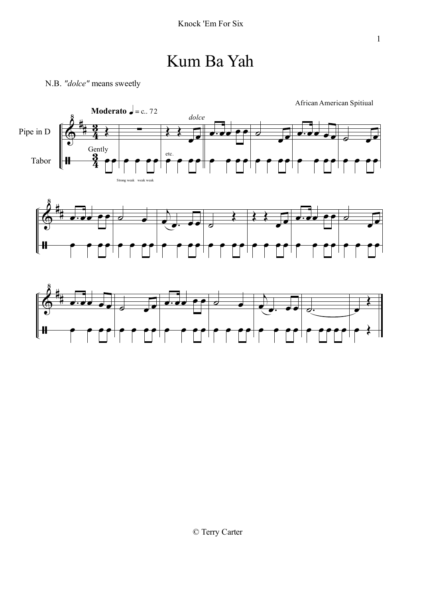### Kum Ba Yah









© Terry Carter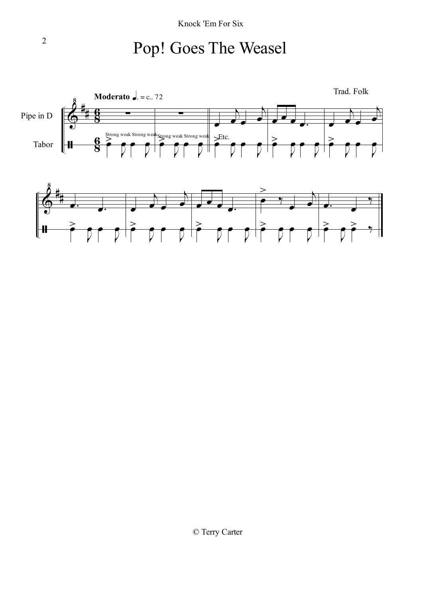### Pop! Goes The Weasel



© Terry Carter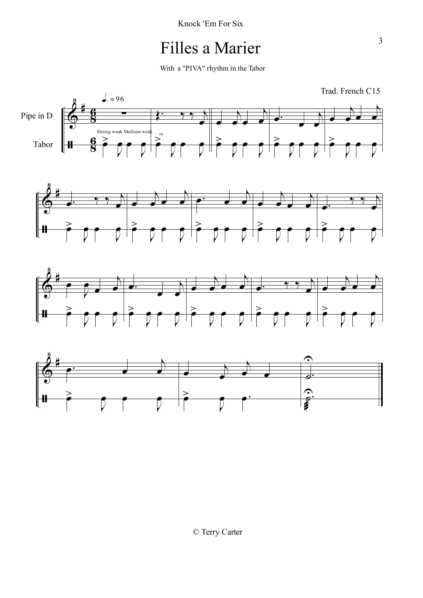### Filles a Marier

With a "PIVA" rhythm in the Tabor

Trad. French C15







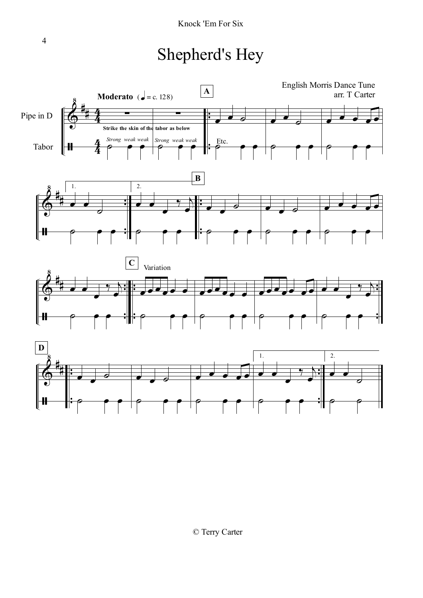## Shepherd's Hey

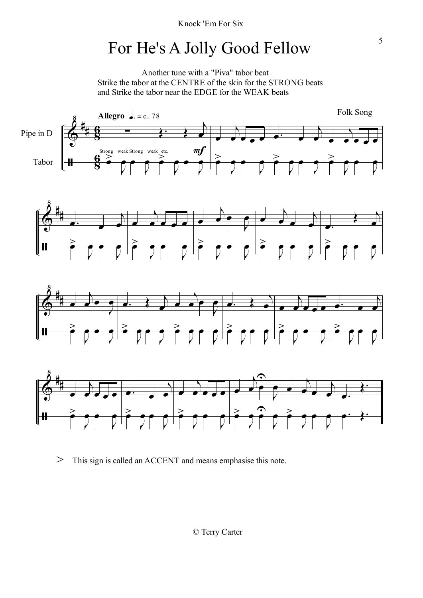# For He's A Jolly Good Fellow

Another tune with a "Piva" tabor beat Strike the tabor at the CENTRE of the skin for the STRONG beats and Strike the tabor near the EDGE for the WEAK beats









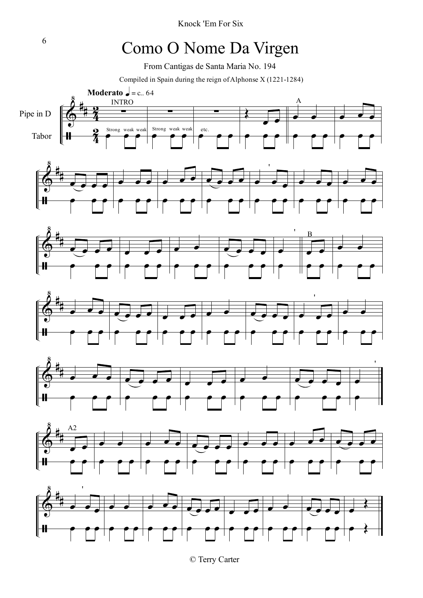Knock 'Em For Six

# <sup>6</sup> Como O Nome Da Virgen

From Cantigas de Santa Maria No. 194

Compiled in Spain during the reign ofAlphonse X (1221-1284)

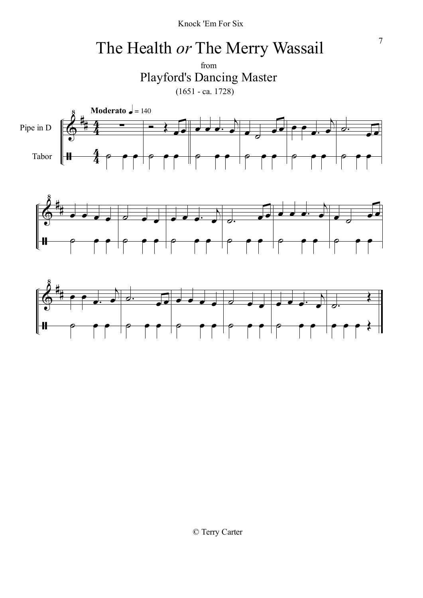Knock 'Em For Six

# <sup>7</sup> The Health *or* The Merry Wassail

from Playford's Dancing Master (1651 - ca. 1728)





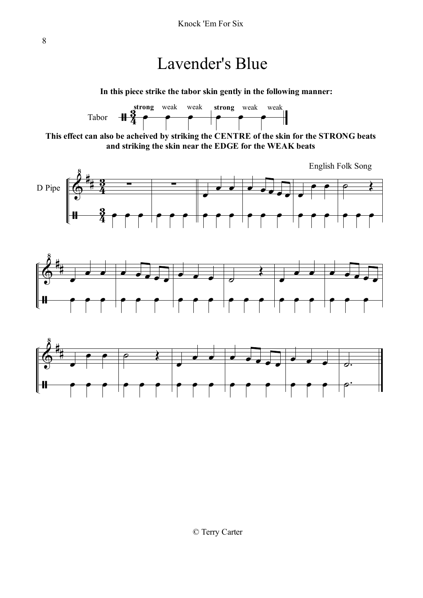#### Lavender's Blue

**In this piece strike the tabor skin gently in the following manner:**



**This effect can also be acheived by striking the CENTRE of the skin for the STRONG beats and striking the skin near the EDGE for the WEAK beats**





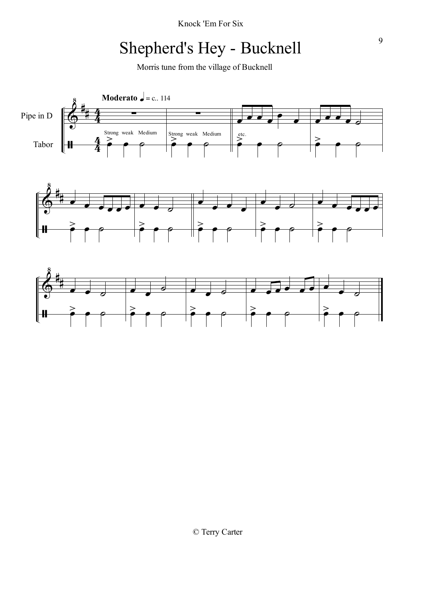Knock 'Em For Six

## Shepherd's Hey - Bucknell

Morris tune from the village of Bucknell